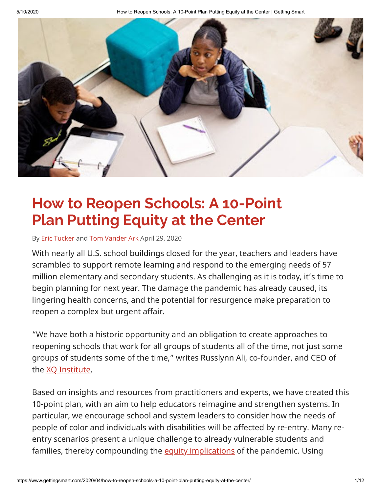5/10/2020 How to Reopen Schools: A 10-Point Plan Putting Equity at the Center | Getting Smart



## **How to Reopen Schools: A 10-Point Plan Putting Equity at the Center**

By [Eric Tucker](https://www.gettingsmart.com/author/eric-tucker/) and [Tom Vander Ark](https://www.gettingsmart.com/author/tom/) April 29, 2020

With nearly all U.S. school buildings closed for the year, teachers and leaders have scrambled to support remote learning and respond to the emerging needs of 57 million elementary and secondary students. As challenging as it is today, it's time to begin planning for next year. The damage the pandemic has already caused, its lingering health concerns, and the potential for resurgence make preparation to reopen a complex but urgent affair.

"We have both a historic opportunity and an obligation to create approaches to reopening schools that work for all groups of students all of the time, not just some groups of students some of the time," writes Russlynn Ali, co-founder, and CEO of the [XQ Institute](https://xqsuperschool.org/).

Based on insights and resources from practitioners and experts, we have created this 10-point plan, with an aim to help educators reimagine and strengthen systems. In particular, we encourage school and system leaders to consider how the needs of people of color and individuals with disabilities will be affected by re-entry. Many reentry scenarios present a unique challenge to already vulnerable students and families, thereby compounding the [equity implications](https://naacp.org/wp-content/uploads/2020/03/Ten-Equity-Considerations-of-the-Coronavirus-COVID-19-Outbreak-in-the-United-States_Version-2.pdf) of the pandemic. Using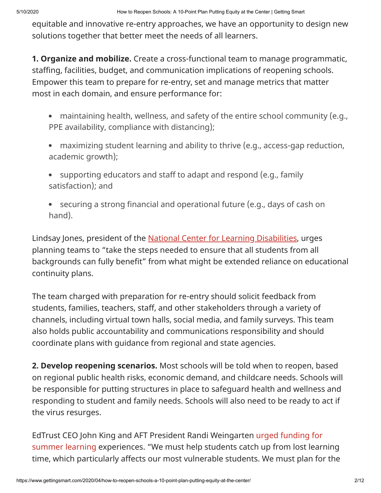equitable and innovative re-entry approaches, we have an opportunity to design new solutions together that better meet the needs of all learners.

**1. Organize and mobilize.** Create a cross-functional team to manage programmatic, staffing, facilities, budget, and communication implications of reopening schools. Empower this team to prepare for re-entry, set and manage metrics that matter most in each domain, and ensure performance for:

- maintaining health, wellness, and safety of the entire school community (e.g., PPE availability, compliance with distancing);
- maximizing student learning and ability to thrive (e.g., access-gap reduction, academic growth);
- supporting educators and staff to adapt and respond (e.g., family  $\bullet$ satisfaction); and
- securing a strong financial and operational future (e.g., days of cash on hand).

Lindsay Jones, president of the **National Center for Learning Disabilities**, urges planning teams to "take the steps needed to ensure that all students from all backgrounds can fully benefit" from what might be extended reliance on educational continuity plans.

The team charged with preparation for re-entry should solicit feedback from students, families, teachers, staff, and other stakeholders through a variety of channels, including virtual town halls, social media, and family surveys. This team also holds public accountability and communications responsibility and should coordinate plans with guidance from regional and state agencies.

**2. Develop reopening scenarios.** Most schools will be told when to reopen, based on regional public health risks, economic demand, and childcare needs. Schools will be responsible for putting structures in place to safeguard health and wellness and responding to student and family needs. Schools will also need to be ready to act if the virus resurges.

EdTrust CEO John King and AFT President Randi Weingarten urged funding for [summer learning experiences. "We must help students catch up from lost learn](https://thehill.com/opinion/education/494521-what-comes-next-for-public-schooling)ing time, which particularly affects our most vulnerable students. We must plan for the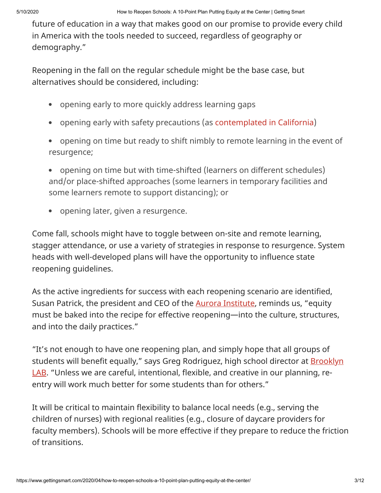future of education in a way that makes good on our promise to provide every child in America with the tools needed to succeed, regardless of geography or demography."

Reopening in the fall on the regular schedule might be the base case, but alternatives should be considered, including:

- opening early to more quickly address learning gaps
- opening early with safety precautions (as [contemplated in California](https://www.nbcbayarea.com/news/california/california-governor-schools-may-reopen-as-soon-as-july/2280412/))
- opening on time but ready to shift nimbly to remote learning in the event of  $\bullet$ resurgence;
- opening on time but with time-shifted (learners on different schedules) and/or place-shifted approaches (some learners in temporary facilities and some learners remote to support distancing); or
- opening later, given a resurgence.

Come fall, schools might have to toggle between on-site and remote learning, stagger attendance, or use a variety of strategies in response to resurgence. System heads with well-developed plans will have the opportunity to influence state reopening guidelines.

As the active ingredients for success with each reopening scenario are identified, Susan Patrick, the president and CEO of the **Aurora Institute**, reminds us, "equity must be baked into the recipe for effective reopening—into the culture, structures, and into the daily practices."

"It's not enough to have one reopening plan, and simply hope that all groups of students will benefit equally," says Greg Rodriguez, high school director at **Brooklyn** LAB. "Unless we are careful, intentional, flexible, and creative in our planning, reentry will work much better for some students than for others."

It will be critical to maintain flexibility to balance local needs (e.g., serving the children of nurses) with regional realities (e.g., closure of daycare providers for faculty members). Schools will be more effective if they prepare to reduce the friction of transitions.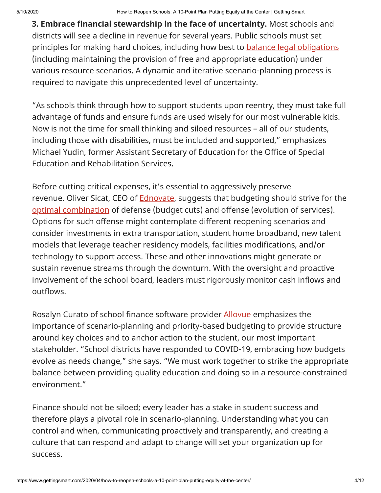**3. Embrace financial stewardship in the face of uncertainty.** Most schools and districts will see a decline in revenue for several years. Public schools must set principles for making hard choices, including how best to **balance legal obligations** (including maintaining the provision of free and appropriate education) under various resource scenarios. A dynamic and iterative scenario-planning process is required to navigate this unprecedented level of uncertainty.

"As schools think through how to support students upon reentry, they must take full advantage of funds and ensure funds are used wisely for our most vulnerable kids. Now is not the time for small thinking and siloed resources – all of our students, including those with disabilities, must be included and supported," emphasizes Michael Yudin, former Assistant Secretary of Education for the Office of Special Education and Rehabilitation Services.

Before cutting critical expenses, it's essential to aggressively preserve revenue. Oliver Sicat, CEO of **Ednovate**, suggests that budgeting should strive for the [optimal combination](https://hbr.org/2010/03/roaring-out-of-recession) of defense (budget cuts) and offense (evolution of services). Options for such offense might contemplate different reopening scenarios and consider investments in extra transportation, student home broadband, new talent models that leverage teacher residency models, facilities modifications, and/or technology to support access. These and other innovations might generate or sustain revenue streams through the downturn. With the oversight and proactive involvement of the school board, leaders must rigorously monitor cash inflows and outflows.

Rosalyn Curato of school finance software provider **[Allovue](https://allovue.com/)** emphasizes the importance of scenario-planning and priority-based budgeting to provide structure around key choices and to anchor action to the student, our most important stakeholder. "School districts have responded to COVID-19, embracing how budgets evolve as needs change," she says. "We must work together to strike the appropriate balance between providing quality education and doing so in a resource-constrained environment."

Finance should not be siloed; every leader has a stake in student success and therefore plays a pivotal role in scenario-planning. Understanding what you can control and when, communicating proactively and transparently, and creating a culture that can respond and adapt to change will set your organization up for success.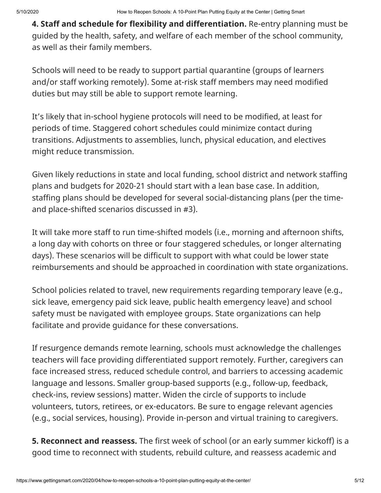**4. Staff and schedule for flexibility and differentiation.** Re-entry planning must be guided by the health, safety, and welfare of each member of the school community, as well as their family members.

Schools will need to be ready to support partial quarantine (groups of learners and/or staff working remotely). Some at-risk staff members may need modified duties but may still be able to support remote learning.

It's likely that in-school hygiene protocols will need to be modified, at least for periods of time. Staggered cohort schedules could minimize contact during transitions. Adjustments to assemblies, lunch, physical education, and electives might reduce transmission.

Given likely reductions in state and local funding, school district and network staffing plans and budgets for 2020-21 should start with a lean base case. In addition, staffing plans should be developed for several social-distancing plans (per the timeand place-shifted scenarios discussed in #3).

It will take more staff to run time-shifted models (i.e., morning and afternoon shifts, a long day with cohorts on three or four staggered schedules, or longer alternating days). These scenarios will be difficult to support with what could be lower state reimbursements and should be approached in coordination with state organizations.

School policies related to travel, new requirements regarding temporary leave (e.g., sick leave, emergency paid sick leave, public health emergency leave) and school safety must be navigated with employee groups. State organizations can help facilitate and provide guidance for these conversations.

If resurgence demands remote learning, schools must acknowledge the challenges teachers will face providing differentiated support remotely. Further, caregivers can face increased stress, reduced schedule control, and barriers to accessing academic language and lessons. Smaller group-based supports (e.g., follow-up, feedback, check-ins, review sessions) matter. Widen the circle of supports to include volunteers, tutors, retirees, or ex-educators. Be sure to engage relevant agencies (e.g., social services, housing). Provide in-person and virtual training to caregivers.

**5. Reconnect and reassess.** The first week of school (or an early summer kickoff) is a good time to reconnect with students, rebuild culture, and reassess academic and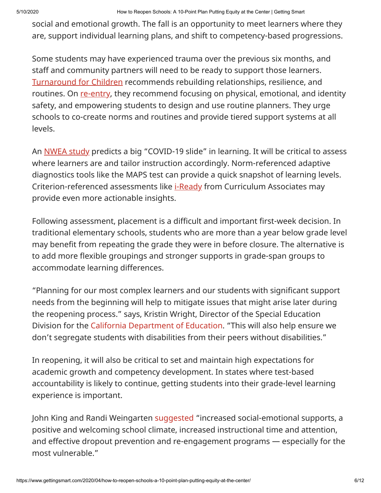social and emotional growth. The fall is an opportunity to meet learners where they are, support individual learning plans, and shift to competency-based progressions.

Some students may have experienced trauma over the previous six months, and staff and community partners will need to be ready to support those learners. [Turnaround for Children](https://www.turnaroundusa.org/what-we-do/tools/) recommends rebuilding relationships, resilience, and routines. On [re-entry](https://www.turnaroundusa.org/wp-content/uploads/2020/04/Turnaround-for-Children-Three-Rs-EdNx.pdf), they recommend focusing on physical, emotional, and identity safety, and empowering students to design and use routine planners. They urge schools to co-create norms and routines and provide tiered support systems at all levels.

An <u>NWEA study</u> predicts a big "COVID-19 slide" in learning. It will be critical to assess where learners are and tailor instruction accordingly. Norm-referenced adaptive diagnostics tools like the MAPS test can provide a quick snapshot of learning levels. Criterion-referenced assessments like *i-Ready* from Curriculum Associates may provide even more actionable insights.

Following assessment, placement is a difficult and important first-week decision. In traditional elementary schools, students who are more than a year below grade level may benefit from repeating the grade they were in before closure. The alternative is to add more flexible groupings and stronger supports in grade-span groups to accommodate learning differences.

"Planning for our most complex learners and our students with significant support needs from the beginning will help to mitigate issues that might arise later during the reopening process." says, Kristin Wright, Director of the Special Education Division for the [California Department of Education.](https://www.cde.ca.gov/) "This will also help ensure we don't segregate students with disabilities from their peers without disabilities."

In reopening, it will also be critical to set and maintain high expectations for academic growth and competency development. In states where test-based accountability is likely to continue, getting students into their grade-level learning experience is important.

John King and Randi Weingarten [suggested](https://thehill.com/opinion/education/494521-what-comes-next-for-public-schooling) "increased social-emotional supports, a positive and welcoming school climate, increased instructional time and attention, and effective dropout prevention and re-engagement programs — especially for the most vulnerable."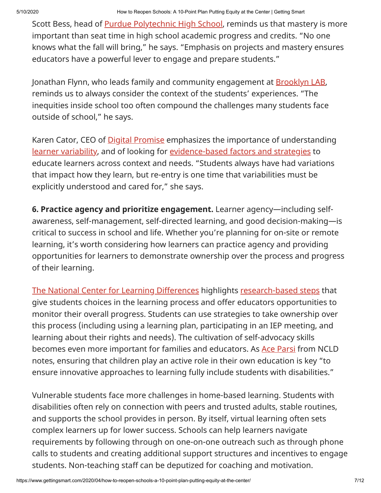Scott Bess, head of **Purdue Polytechnic High School**, reminds us that mastery is more important than seat time in high school academic progress and credits. "No one knows what the fall will bring," he says. "Emphasis on projects and mastery ensures educators have a powerful lever to engage and prepare students."

Jonathan Flynn, who leads family and community engagement at **[Brooklyn LAB](https://xqsuperschool.org/xq-schools/brooklyn-lab)**, reminds us to always consider the context of the students' experiences. "The inequities inside school too often compound the challenges many students face outside of school," he says.

Karen Cator, CEO of **Digital Promise** emphasizes the importance of understanding [learner variability](https://digitalpromise.org/initiative/learner-variability-project/), and of looking for [evidence-based factors and strategies](https://digitalpromise.org/initiative/learner-variability-project/) to educate learners across context and needs. "Students always have had variations that impact how they learn, but re-entry is one time that variabilities must be explicitly understood and cared for," she says.

**6. Practice agency and prioritize engagement.** Learner agency—including selfawareness, self-management, self-directed learning, and good decision-making—is critical to success in school and life. Whether you're planning for on-site or remote learning, it's worth considering how learners can practice agency and providing opportunities for learners to demonstrate ownership over the process and progress of their learning.

[The National Center for Learning Differences](https://www.ncld.org/) highlights [research-based steps](https://www.ncld.org/wp-content/uploads/2018/03/Agents-of-Their-Own-Success_Final.pdf) that give students choices in the learning process and offer educators opportunities to monitor their overall progress. Students can use strategies to take ownership over this process (including using a learning plan, participating in an IEP meeting, and learning about their rights and needs). The cultivation of self-advocacy skills becomes even more important for families and educators. As [Ace Parsi](https://www.linkedin.com/in/ace-parsi-18095913/) from NCLD notes, ensuring that children play an active role in their own education is key "to ensure innovative approaches to learning fully include students with disabilities."

Vulnerable students face more challenges in home-based learning. Students with disabilities often rely on connection with peers and trusted adults, stable routines, and supports the school provides in person. By itself, virtual learning often sets complex learners up for lower success. Schools can help learners navigate requirements by following through on one-on-one outreach such as through phone calls to students and creating additional support structures and incentives to engage students. Non-teaching staff can be deputized for coaching and motivation.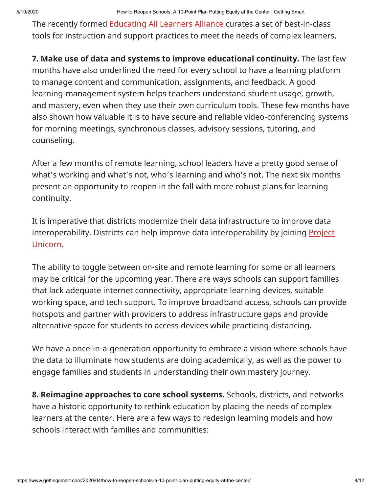The recently formed [Educating All Learners Alliance](https://www.educatingalllearners.org/) curates a set of best-in-class tools for instruction and support practices to meet the needs of complex learners.

**7. Make use of data and systems to improve educational continuity.** The last few months have also underlined the need for every school to have a learning platform to manage content and communication, assignments, and feedback. A good learning-management system helps teachers understand student usage, growth, and mastery, even when they use their own curriculum tools. These few months have also shown how valuable it is to have secure and reliable video-conferencing systems for morning meetings, synchronous classes, advisory sessions, tutoring, and counseling.

After a few months of remote learning, school leaders have a pretty good sense of what's working and what's not, who's learning and who's not. The next six months present an opportunity to reopen in the fall with more robust plans for learning continuity.

It is imperative that districts modernize their data infrastructure to improve data interoperability. Districts can help improve data interoperability by joining **Project** Unicorn.

The ability to toggle between on-site and remote learning for some or all learners may be critical for the upcoming year. There are ways schools can support families that lack adequate internet connectivity, appropriate learning devices, suitable working space, and tech support. To improve broadband access, schools can provide hotspots and partner with providers to address infrastructure gaps and provide alternative space for students to access devices while practicing distancing.

We have a once-in-a-generation opportunity to embrace a vision where schools have the data to illuminate how students are doing academically, as well as the power to engage families and students in understanding their own mastery journey.

**8. Reimagine approaches to core school systems.** Schools, districts, and networks have a historic opportunity to rethink education by placing the needs of complex learners at the center. Here are a few ways to redesign learning models and how schools interact with families and communities: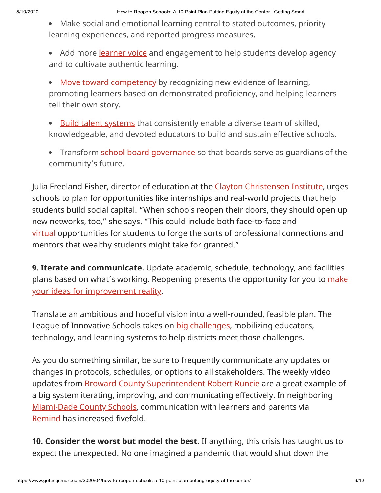Make social and emotional learning central to stated outcomes, priority learning experiences, and reported progress measures.

• Add more [learner voice](https://xqsuperschool.org/knowledge-modules/XQ%20Knowledge%20Module%2006%20-%20Student%20Agency%20&%20Engagement.pdf) and engagement to help students develop agency and to cultivate authentic learning.

[Move toward competency](https://xqsuperschool.org/competency-based-education-cbe/part1) by recognizing new evidence of learning,  $\bullet$ promoting learners based on demonstrated proficiency, and helping learners tell their own story.

[Build talent systems](https://xqsuperschool.org/knowledge-modules/XQ%20Knowledge%20Module%2008%20-%20Talent%20&%20Training.pdf) that consistently enable a diverse team of skilled,  $\bullet$ knowledgeable, and devoted educators to build and sustain effective schools.

• Transform [school board governance](https://xqsuperschool.org/school-board-thing) so that boards serve as guardians of the community's future.

Julia Freeland Fisher, director of education at the [Clayton Christensen Institute](https://www.christenseninstitute.org/about/#about-julia-freeland), urges schools to plan for opportunities like internships and real-world projects that help students build social capital. "When schools reopen their doors, they should open up new networks, too," she says. "This could include both face-to-face and [virtual](http://whoyouknow.org/tools) opportunities for students to forge the sorts of professional connections and mentors that wealthy students might take for granted."

**9. Iterate and communicate.** Update academic, schedule, technology, and facilities [plans based on what's working. Reopening presents the opportunity for you to](https://xqsuperschool.org/knowledge-modules/XQ%20Knowledge%20Module%2013%20-%20Putting%20Ideas%20Into%20Action.pdf) [m](https://xqsuperschool.org/knowledge-modules/XQ%20Knowledge%20Module%2013%20-%20Putting%20Ideas%20Into%20Action.pdf)ake your ideas for improvement reality.

Translate an ambitious and hopeful vision into a well-rounded, feasible plan. The League of Innovative Schools takes on [big challenges,](https://digitalpromise.org/our-projects/) mobilizing educators, technology, and learning systems to help districts meet those challenges.

As you do something similar, be sure to frequently communicate any updates or changes in protocols, schedules, or options to all stakeholders. The weekly video updates from [Broward County Superintendent Robert Runcie](https://becon.eduvision.tv/play.aspx?qev=3SfVi13wT7TrnmajKeTSADQQOCUTjbhawAKZHwCFOrFrTFG5jjXKIZXkZHhl0AYdpWzexgMn0myqn71qOx7xI63TRS9ATjqQx4da3gTkCtY%253d) are a great example of a big system iterating, improving, and communicating effectively. In neighboring [Miami-Dade County Schools](http://www.dadeschools.net/), communication with learners and parents via [Remind](https://www.remind.com/) has increased fivefold.

**10. Consider the worst but model the best.** If anything, this crisis has taught us to expect the unexpected. No one imagined a pandemic that would shut down the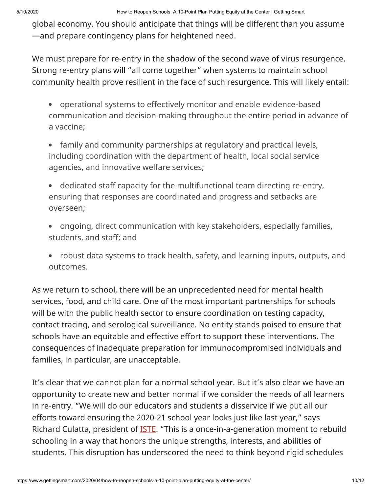global economy. You should anticipate that things will be different than you assume —and prepare contingency plans for heightened need.

We must prepare for re-entry in the shadow of the second wave of virus resurgence. Strong re-entry plans will "all come together" when systems to maintain school community health prove resilient in the face of such resurgence. This will likely entail:

- operational systems to effectively monitor and enable evidence-based communication and decision-making throughout the entire period in advance of a vaccine;
- family and community partnerships at regulatory and practical levels, including coordination with the department of health, local social service agencies, and innovative welfare services;
- dedicated staff capacity for the multifunctional team directing re-entry, ensuring that responses are coordinated and progress and setbacks are overseen;
- ongoing, direct communication with key stakeholders, especially families, students, and staff; and
- robust data systems to track health, safety, and learning inputs, outputs, and outcomes.

As we return to school, there will be an unprecedented need for mental health services, food, and child care. One of the most important partnerships for schools will be with the public health sector to ensure coordination on testing capacity, contact tracing, and serological surveillance. No entity stands poised to ensure that schools have an equitable and effective effort to support these interventions. The consequences of inadequate preparation for immunocompromised individuals and families, in particular, are unacceptable.

It's clear that we cannot plan for a normal school year. But it's also clear we have an opportunity to create new and better normal if we consider the needs of all learners in re-entry. "We will do our educators and students a disservice if we put all our efforts toward ensuring the 2020-21 school year looks just like last year," says Richard Culatta, president of [ISTE.](https://iste.org/) "This is a once-in-a-generation moment to rebuild schooling in a way that honors the unique strengths, interests, and abilities of students. This disruption has underscored the need to think beyond rigid schedules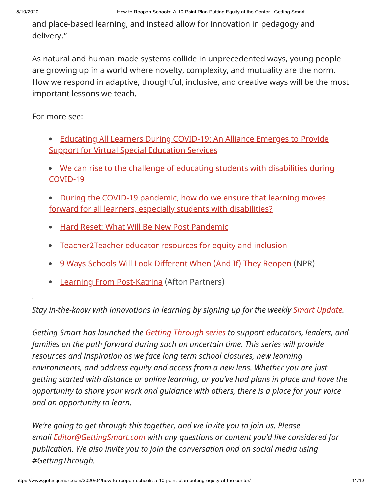and place-based learning, and instead allow for innovation in pedagogy and delivery."

As natural and human-made systems collide in unprecedented ways, young people are growing up in a world where novelty, complexity, and mutuality are the norm. How we respond in adaptive, thoughtful, inclusive, and creative ways will be the most important lessons we teach.

For more see:

- [Educating All Learners During COVID-19: An Alliance Emerges to Provide](https://www.gettingsmart.com/2020/04/educating-all-learners-during-covid-19-an-alliance-emerges-to-provide-support-for-virtual-special-education-services/) Support for Virtual Special Education Services
- [We can rise to the challenge of educating students with disabilities during](https://fordhaminstitute.org/national/commentary/we-can-rise-challenge-educating-students-disabilities-during-covid-19) COVID-19
- [During the COVID-19 pandemic, how do we ensure that learning moves](https://www.nextgenlearning.org/articles/educating-all-learners-to-thrive-during-school-closure) forward for all learners, especially students with disabilities?
- [Hard Reset: What Will Be New Post Pandemic](https://www.gettingsmart.com/2020/03/hard-reset-what-will-be-new-post-pandemic/)  $\bullet$
- $\bullet$ [Teacher2Teacher educator resources for equity and inclusion](https://www.teacher2teacher.education/blog/)
- [9 Ways Schools Will Look Different When \(And If\) They Reopen](https://www.npr.org/2020/04/24/842528906/what-it-might-look-like-to-safely-reopen-schools) (NPR)
- [Learning From Post-Katrina](https://aftonpartners.com/2020/04/14/planning-re-entry-public-school-systems-can-learn-aftermath-hurricane-katrina/) (Afton Partners)

*Stay in-the-know with innovations in learning by signing up for the weekly [Smart Update](http://eepurl.com/bhz92T).*

*Getting Smart has launched the [Getting Through series](https://www.gettingsmart.com/gettingthrough/) to support educators, leaders, and families on the path forward during such an uncertain time. This series will provide resources and inspiration as we face long term school closures, new learning environments, and address equity and access from a new lens. Whether you are just getting started with distance or online learning, or you've had plans in place and have the opportunity to share your work and guidance with others, there is a place for your voice and an opportunity to learn.*

*We're going to get through this together, and we invite you to join us. Please email [Editor@GettingSmart.com](mailto:Editor@GettingSmart.com) with any questions or content you'd like considered for publication. We also invite you to join the conversation and on social media using #GettingThrough.*